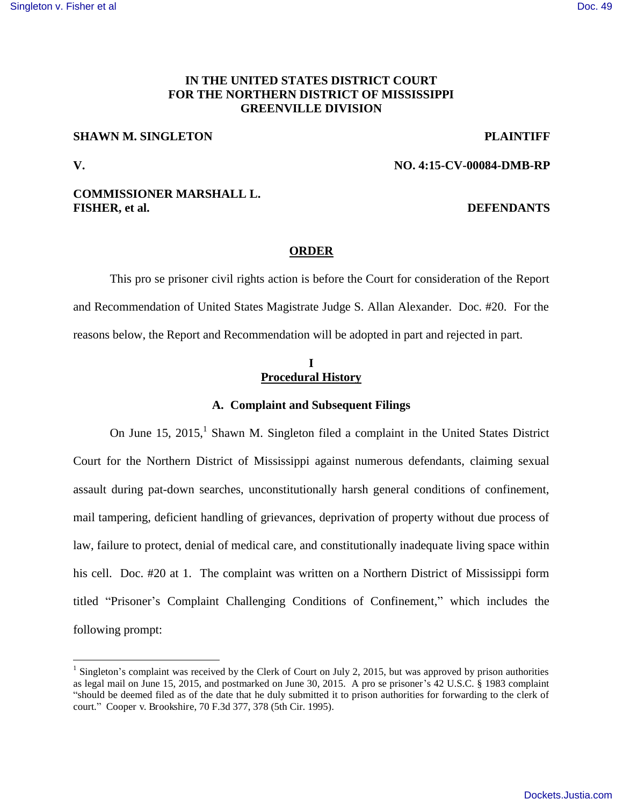#### [Singleton v. Fisher et al](https://dockets.justia.com/docket/mississippi/msndce/4:2015cv00084/37180/) **[Doc. 49](https://docs.justia.com/cases/federal/district-courts/mississippi/msndce/4:2015cv00084/37180/49/)**

# **IN THE UNITED STATES DISTRICT COURT FOR THE NORTHERN DISTRICT OF MISSISSIPPI GREENVILLE DIVISION**

### **SHAWN M. SINGLETON PLAINTIFF**

 $\overline{a}$ 

## **V. NO. 4:15-CV-00084-DMB-RP**

## **COMMISSIONER MARSHALL L. FISHER, et al. DEFENDANTS**

### **ORDER**

This pro se prisoner civil rights action is before the Court for consideration of the Report and Recommendation of United States Magistrate Judge S. Allan Alexander. Doc. #20. For the reasons below, the Report and Recommendation will be adopted in part and rejected in part.

## **I Procedural History**

## **A. Complaint and Subsequent Filings**

On June 15, 2015,<sup>1</sup> Shawn M. Singleton filed a complaint in the United States District Court for the Northern District of Mississippi against numerous defendants, claiming sexual assault during pat-down searches, unconstitutionally harsh general conditions of confinement, mail tampering, deficient handling of grievances, deprivation of property without due process of law, failure to protect, denial of medical care, and constitutionally inadequate living space within his cell. Doc. #20 at 1. The complaint was written on a Northern District of Mississippi form titled "Prisoner's Complaint Challenging Conditions of Confinement," which includes the following prompt:

 $<sup>1</sup>$  Singleton's complaint was received by the Clerk of Court on July 2, 2015, but was approved by prison authorities</sup> as legal mail on June 15, 2015, and postmarked on June 30, 2015. A pro se prisoner's 42 U.S.C. § 1983 complaint "should be deemed filed as of the date that he duly submitted it to prison authorities for forwarding to the clerk of court." Cooper v. Brookshire, 70 F.3d 377, 378 (5th Cir. 1995).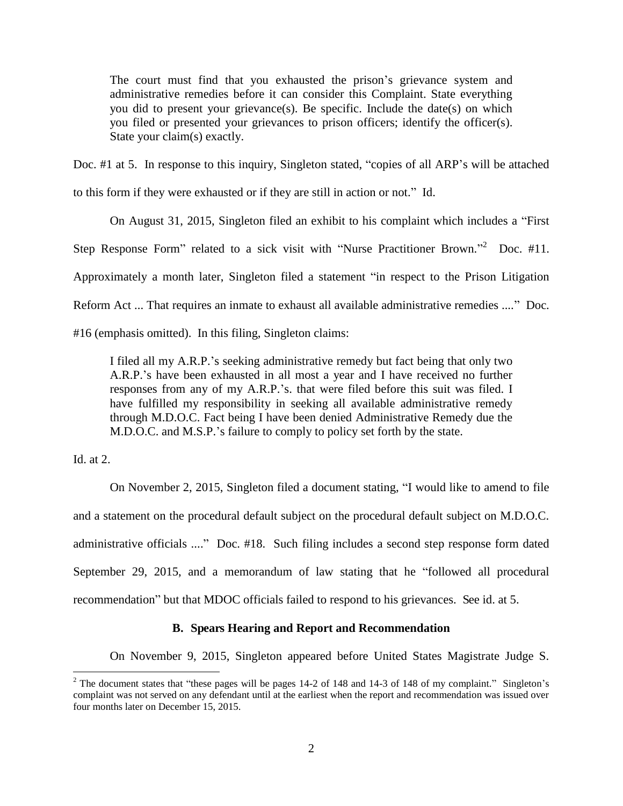The court must find that you exhausted the prison's grievance system and administrative remedies before it can consider this Complaint. State everything you did to present your grievance(s). Be specific. Include the date(s) on which you filed or presented your grievances to prison officers; identify the officer(s). State your claim(s) exactly.

Doc. #1 at 5. In response to this inquiry, Singleton stated, "copies of all ARP's will be attached

to this form if they were exhausted or if they are still in action or not." Id.

On August 31, 2015, Singleton filed an exhibit to his complaint which includes a "First Step Response Form" related to a sick visit with "Nurse Practitioner Brown."<sup>2</sup> Doc. #11. Approximately a month later, Singleton filed a statement "in respect to the Prison Litigation Reform Act ... That requires an inmate to exhaust all available administrative remedies ...." Doc.

#16 (emphasis omitted). In this filing, Singleton claims:

I filed all my A.R.P.'s seeking administrative remedy but fact being that only two A.R.P.'s have been exhausted in all most a year and I have received no further responses from any of my A.R.P.'s. that were filed before this suit was filed. I have fulfilled my responsibility in seeking all available administrative remedy through M.D.O.C. Fact being I have been denied Administrative Remedy due the M.D.O.C. and M.S.P.'s failure to comply to policy set forth by the state.

Id. at 2.

 $\overline{a}$ 

 On November 2, 2015, Singleton filed a document stating, "I would like to amend to file and a statement on the procedural default subject on the procedural default subject on M.D.O.C. administrative officials ...." Doc. #18. Such filing includes a second step response form dated September 29, 2015, and a memorandum of law stating that he "followed all procedural recommendation" but that MDOC officials failed to respond to his grievances. See id. at 5.

## **B. Spears Hearing and Report and Recommendation**

On November 9, 2015, Singleton appeared before United States Magistrate Judge S.

<sup>&</sup>lt;sup>2</sup> The document states that "these pages will be pages 14-2 of 148 and 14-3 of 148 of my complaint." Singleton's complaint was not served on any defendant until at the earliest when the report and recommendation was issued over four months later on December 15, 2015.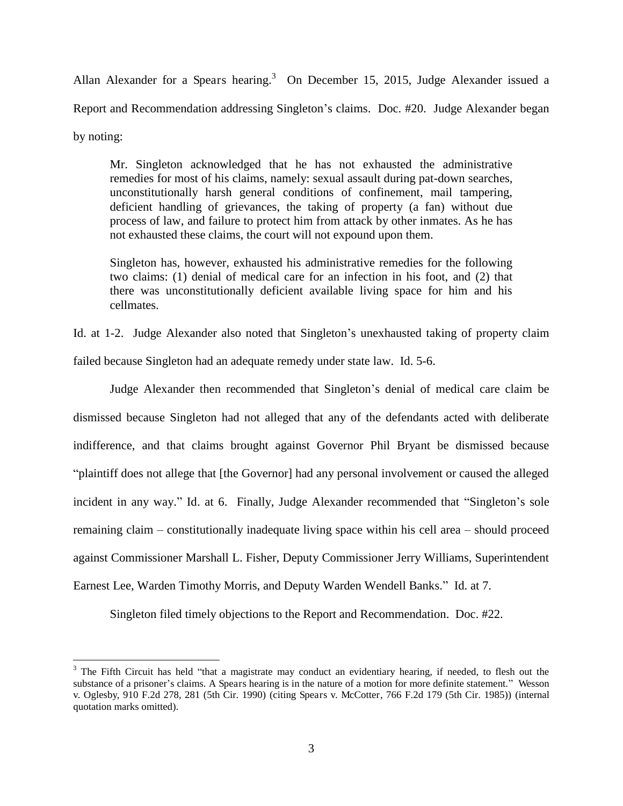Allan Alexander for a Spears hearing.<sup>3</sup> On December 15, 2015, Judge Alexander issued a Report and Recommendation addressing Singleton's claims. Doc. #20. Judge Alexander began by noting:

Mr. Singleton acknowledged that he has not exhausted the administrative remedies for most of his claims, namely: sexual assault during pat-down searches, unconstitutionally harsh general conditions of confinement, mail tampering, deficient handling of grievances, the taking of property (a fan) without due process of law, and failure to protect him from attack by other inmates. As he has not exhausted these claims, the court will not expound upon them.

Singleton has, however, exhausted his administrative remedies for the following two claims: (1) denial of medical care for an infection in his foot, and (2) that there was unconstitutionally deficient available living space for him and his cellmates.

Id. at 1-2. Judge Alexander also noted that Singleton's unexhausted taking of property claim failed because Singleton had an adequate remedy under state law. Id. 5-6.

 Judge Alexander then recommended that Singleton's denial of medical care claim be dismissed because Singleton had not alleged that any of the defendants acted with deliberate indifference, and that claims brought against Governor Phil Bryant be dismissed because "plaintiff does not allege that [the Governor] had any personal involvement or caused the alleged incident in any way." Id. at 6. Finally, Judge Alexander recommended that "Singleton's sole remaining claim – constitutionally inadequate living space within his cell area – should proceed against Commissioner Marshall L. Fisher, Deputy Commissioner Jerry Williams, Superintendent Earnest Lee, Warden Timothy Morris, and Deputy Warden Wendell Banks." Id. at 7.

Singleton filed timely objections to the Report and Recommendation. Doc. #22.

 $\overline{a}$ 

 $3$  The Fifth Circuit has held "that a magistrate may conduct an evidentiary hearing, if needed, to flesh out the substance of a prisoner's claims. A Spears hearing is in the nature of a motion for more definite statement." Wesson v. Oglesby, 910 F.2d 278, 281 (5th Cir. 1990) (citing Spears v. McCotter, 766 F.2d 179 (5th Cir. 1985)) (internal quotation marks omitted).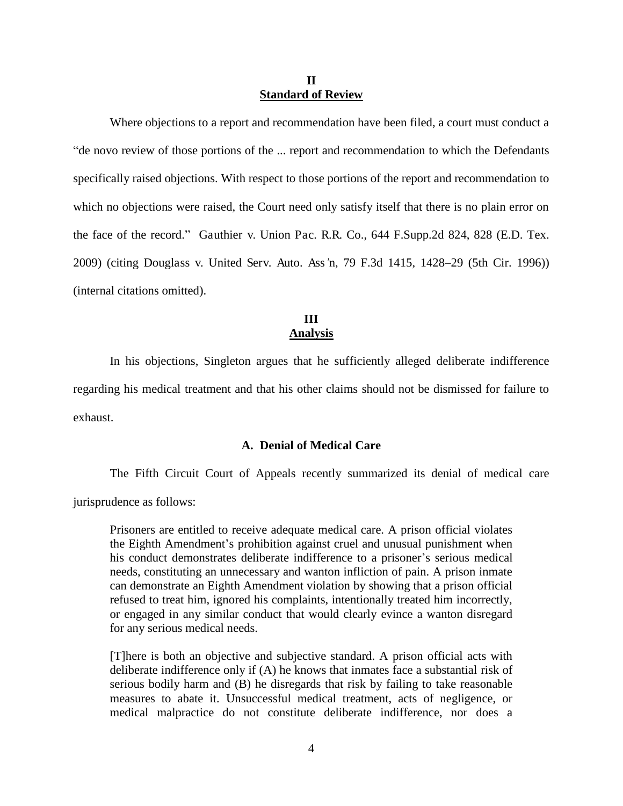### **II Standard of Review**

Where objections to a report and recommendation have been filed, a court must conduct a "de novo review of those portions of the ... report and recommendation to which the Defendants specifically raised objections. With respect to those portions of the report and recommendation to which no objections were raised, the Court need only satisfy itself that there is no plain error on the face of the record." Gauthier v. Union Pac. R.R. Co., 644 F.Supp.2d 824, 828 (E.D. Tex. 2009) (citing Douglass v. United Serv. Auto. Ass*'*n, 79 F.3d 1415, 1428–29 (5th Cir. 1996)) (internal citations omitted).

## **III Analysis**

 In his objections, Singleton argues that he sufficiently alleged deliberate indifference regarding his medical treatment and that his other claims should not be dismissed for failure to exhaust.

#### **A. Denial of Medical Care**

 The Fifth Circuit Court of Appeals recently summarized its denial of medical care jurisprudence as follows:

Prisoners are entitled to receive adequate medical care. A prison official violates the Eighth Amendment's prohibition against cruel and unusual punishment when his conduct demonstrates deliberate indifference to a prisoner's serious medical needs, constituting an unnecessary and wanton infliction of pain. A prison inmate can demonstrate an Eighth Amendment violation by showing that a prison official refused to treat him, ignored his complaints, intentionally treated him incorrectly, or engaged in any similar conduct that would clearly evince a wanton disregard for any serious medical needs.

[T]here is both an objective and subjective standard. A prison official acts with deliberate indifference only if (A) he knows that inmates face a substantial risk of serious bodily harm and (B) he disregards that risk by failing to take reasonable measures to abate it. Unsuccessful medical treatment, acts of negligence, or medical malpractice do not constitute deliberate indifference, nor does a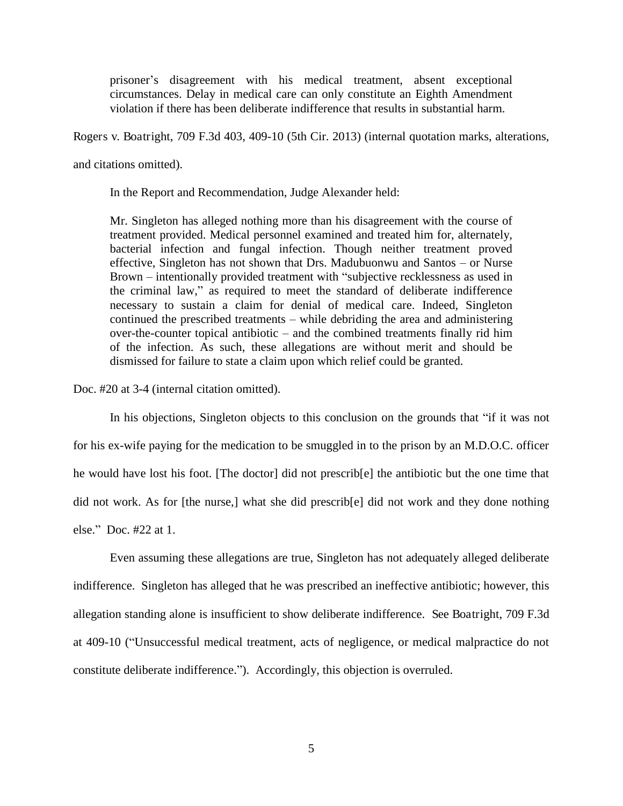prisoner's disagreement with his medical treatment, absent exceptional circumstances. Delay in medical care can only constitute an Eighth Amendment violation if there has been deliberate indifference that results in substantial harm.

Rogers v. Boatright, 709 F.3d 403, 409-10 (5th Cir. 2013) (internal quotation marks, alterations,

and citations omitted).

In the Report and Recommendation, Judge Alexander held:

Mr. Singleton has alleged nothing more than his disagreement with the course of treatment provided. Medical personnel examined and treated him for, alternately, bacterial infection and fungal infection. Though neither treatment proved effective, Singleton has not shown that Drs. Madubuonwu and Santos – or Nurse Brown – intentionally provided treatment with "subjective recklessness as used in the criminal law," as required to meet the standard of deliberate indifference necessary to sustain a claim for denial of medical care. Indeed, Singleton continued the prescribed treatments – while debriding the area and administering over-the-counter topical antibiotic – and the combined treatments finally rid him of the infection. As such, these allegations are without merit and should be dismissed for failure to state a claim upon which relief could be granted.

Doc. #20 at 3-4 (internal citation omitted).

 In his objections, Singleton objects to this conclusion on the grounds that "if it was not for his ex-wife paying for the medication to be smuggled in to the prison by an M.D.O.C. officer he would have lost his foot. [The doctor] did not prescrib[e] the antibiotic but the one time that did not work. As for [the nurse,] what she did prescrib[e] did not work and they done nothing else." Doc. #22 at 1.

 Even assuming these allegations are true, Singleton has not adequately alleged deliberate indifference. Singleton has alleged that he was prescribed an ineffective antibiotic; however, this allegation standing alone is insufficient to show deliberate indifference. See Boatright, 709 F.3d at 409-10 ("Unsuccessful medical treatment, acts of negligence, or medical malpractice do not constitute deliberate indifference."). Accordingly, this objection is overruled.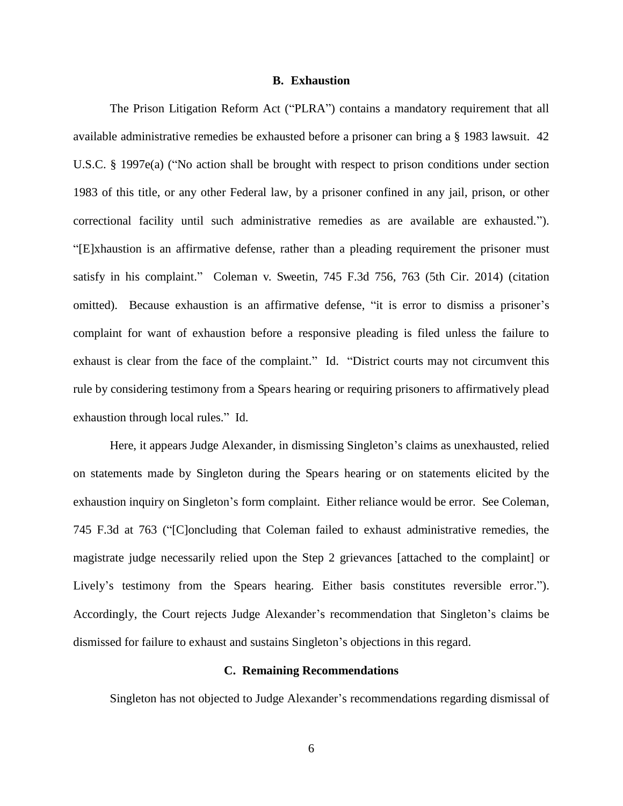#### **B. Exhaustion**

The Prison Litigation Reform Act ("PLRA") contains a mandatory requirement that all available administrative remedies be exhausted before a prisoner can bring a § 1983 lawsuit. 42 U.S.C. § 1997e(a) ("No action shall be brought with respect to prison conditions under section 1983 of this title, or any other Federal law, by a prisoner confined in any jail, prison, or other correctional facility until such administrative remedies as are available are exhausted."). "[E]xhaustion is an affirmative defense, rather than a pleading requirement the prisoner must satisfy in his complaint." Coleman v. Sweetin, 745 F.3d 756, 763 (5th Cir. 2014) (citation omitted). Because exhaustion is an affirmative defense, "it is error to dismiss a prisoner's complaint for want of exhaustion before a responsive pleading is filed unless the failure to exhaust is clear from the face of the complaint." Id. "District courts may not circumvent this rule by considering testimony from a Spears hearing or requiring prisoners to affirmatively plead exhaustion through local rules." Id.

Here, it appears Judge Alexander, in dismissing Singleton's claims as unexhausted, relied on statements made by Singleton during the Spears hearing or on statements elicited by the exhaustion inquiry on Singleton's form complaint. Either reliance would be error. See Coleman, 745 F.3d at 763 ("[C]oncluding that Coleman failed to exhaust administrative remedies, the magistrate judge necessarily relied upon the Step 2 grievances [attached to the complaint] or Lively's testimony from the Spears hearing. Either basis constitutes reversible error."). Accordingly, the Court rejects Judge Alexander's recommendation that Singleton's claims be dismissed for failure to exhaust and sustains Singleton's objections in this regard.

### **C. Remaining Recommendations**

Singleton has not objected to Judge Alexander's recommendations regarding dismissal of